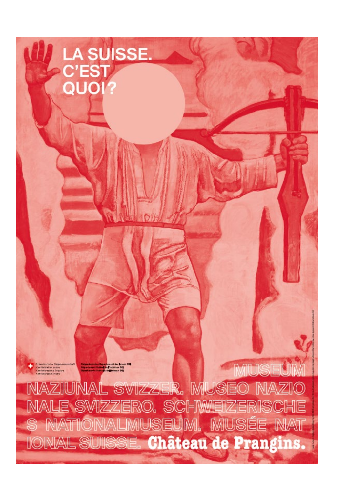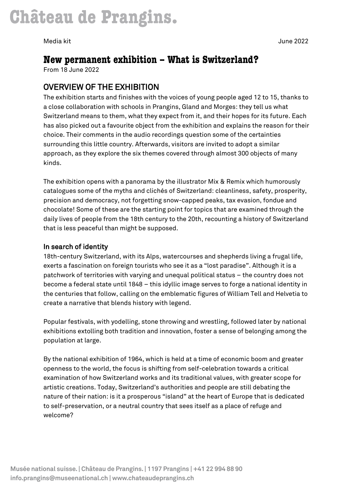# **New permanent exhibition – What is Switzerland?**

From 18 June 2022

## OVERVIEW OF THE EXHIBITION

The exhibition starts and finishes with the voices of young people aged 12 to 15, thanks to a close collaboration with schools in Prangins, Gland and Morges: they tell us what Switzerland means to them, what they expect from it, and their hopes for its future. Each has also picked out a favourite object from the exhibition and explains the reason for their choice. Their comments in the audio recordings question some of the certainties surrounding this little country. Afterwards, visitors are invited to adopt a similar approach, as they explore the six themes covered through almost 300 objects of many kinds.

The exhibition opens with a panorama by the illustrator Mix & Remix which humorously catalogues some of the myths and clichés of Switzerland: cleanliness, safety, prosperity, precision and democracy, not forgetting snow-capped peaks, tax evasion, fondue and chocolate! Some of these are the starting point for topics that are examined through the daily lives of people from the 18th century to the 20th, recounting a history of Switzerland that is less peaceful than might be supposed.

### In search of identity

18th-century Switzerland, with its Alps, watercourses and shepherds living a frugal life, exerts a fascination on foreign tourists who see it as a "lost paradise". Although it is a patchwork of territories with varying and unequal political status – the country does not become a federal state until 1848 – this idyllic image serves to forge a national identity in the centuries that follow, calling on the emblematic figures of William Tell and Helvetia to create a narrative that blends history with legend.

Popular festivals, with yodelling, stone throwing and wrestling, followed later by national exhibitions extolling both tradition and innovation, foster a sense of belonging among the population at large.

By the national exhibition of 1964, which is held at a time of economic boom and greater openness to the world, the focus is shifting from self-celebration towards a critical examination of how Switzerland works and its traditional values, with greater scope for artistic creations. Today, Switzerland's authorities and people are still debating the nature of their nation: is it a prosperous "island" at the heart of Europe that is dedicated to self-preservation, or a neutral country that sees itself as a place of refuge and welcome?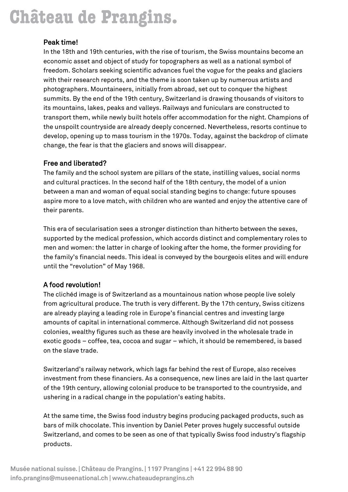# Château de Prangins.

### Peak time!

In the 18th and 19th centuries, with the rise of tourism, the Swiss mountains become an economic asset and object of study for topographers as well as a national symbol of freedom. Scholars seeking scientific advances fuel the vogue for the peaks and glaciers with their research reports, and the theme is soon taken up by numerous artists and photographers. Mountaineers, initially from abroad, set out to conquer the highest summits. By the end of the 19th century, Switzerland is drawing thousands of visitors to its mountains, lakes, peaks and valleys. Railways and funiculars are constructed to transport them, while newly built hotels offer accommodation for the night. Champions of the unspoilt countryside are already deeply concerned. Nevertheless, resorts continue to develop, opening up to mass tourism in the 1970s. Today, against the backdrop of climate change, the fear is that the glaciers and snows will disappear.

### Free and liberated?

The family and the school system are pillars of the state, instilling values, social norms and cultural practices. In the second half of the 18th century, the model of a union between a man and woman of equal social standing begins to change: future spouses aspire more to a love match, with children who are wanted and enjoy the attentive care of their parents.

This era of secularisation sees a stronger distinction than hitherto between the sexes, supported by the medical profession, which accords distinct and complementary roles to men and women: the latter in charge of looking after the home, the former providing for the family's financial needs. This ideal is conveyed by the bourgeois elites and will endure until the "revolution" of May 1968.

### A food revolution!

The clichéd image is of Switzerland as a mountainous nation whose people live solely from agricultural produce. The truth is very different. By the 17th century, Swiss citizens are already playing a leading role in Europe's financial centres and investing large amounts of capital in international commerce. Although Switzerland did not possess colonies, wealthy figures such as these are heavily involved in the wholesale trade in exotic goods – coffee, tea, cocoa and sugar – which, it should be remembered, is based on the slave trade.

Switzerland's railway network, which lags far behind the rest of Europe, also receives investment from these financiers. As a consequence, new lines are laid in the last quarter of the 19th century, allowing colonial produce to be transported to the countryside, and ushering in a radical change in the population's eating habits.

At the same time, the Swiss food industry begins producing packaged products, such as bars of milk chocolate. This invention by Daniel Peter proves hugely successful outside Switzerland, and comes to be seen as one of that typically Swiss food industry's flagship products.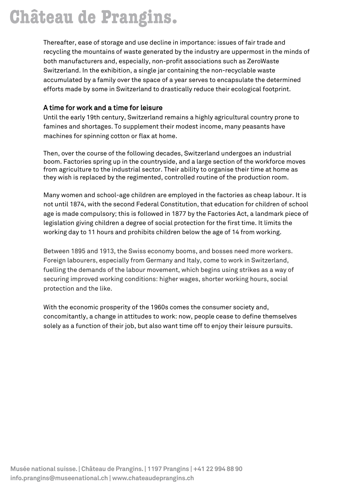# **Château de Prangins.**

Thereafter, ease of storage and use decline in importance: issues of fair trade and recycling the mountains of waste generated by the industry are uppermost in the minds of both manufacturers and, especially, non-profit associations such as ZeroWaste Switzerland. In the exhibition, a single jar containing the non-recyclable waste accumulated by a family over the space of a year serves to encapsulate the determined efforts made by some in Switzerland to drastically reduce their ecological footprint.

## A time for work and a time for leisure

Until the early 19th century, Switzerland remains a highly agricultural country prone to famines and shortages. To supplement their modest income, many peasants have machines for spinning cotton or flax at home.

Then, over the course of the following decades, Switzerland undergoes an industrial boom. Factories spring up in the countryside, and a large section of the workforce moves from agriculture to the industrial sector. Their ability to organise their time at home as they wish is replaced by the regimented, controlled routine of the production room.

Many women and school-age children are employed in the factories as cheap labour. It is not until 1874, with the second Federal Constitution, that education for children of school age is made compulsory; this is followed in 1877 by the Factories Act, a landmark piece of legislation giving children a degree of social protection for the first time. It limits the working day to 11 hours and prohibits children below the age of 14 from working.

Between 1895 and 1913, the Swiss economy booms, and bosses need more workers. Foreign labourers, especially from Germany and Italy, come to work in Switzerland, fuelling the demands of the labour movement, which begins using strikes as a way of securing improved working conditions: higher wages, shorter working hours, social protection and the like.

With the economic prosperity of the 1960s comes the consumer society and, concomitantly, a change in attitudes to work: now, people cease to define themselves solely as a function of their job, but also want time off to enjoy their leisure pursuits.